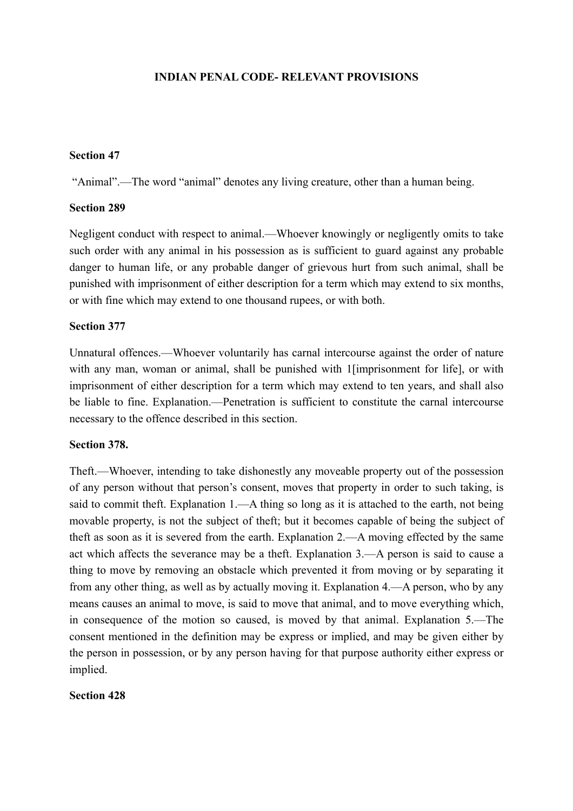# **INDIAN PENAL CODE- RELEVANT PROVISIONS**

### **Section 47**

"Animal".—The word "animal" denotes any living creature, other than a human being.

### **Section 289**

Negligent conduct with respect to animal.—Whoever knowingly or negligently omits to take such order with any animal in his possession as is sufficient to guard against any probable danger to human life, or any probable danger of grievous hurt from such animal, shall be punished with imprisonment of either description for a term which may extend to six months, or with fine which may extend to one thousand rupees, or with both.

### **Section 377**

Unnatural offences.—Whoever voluntarily has carnal intercourse against the order of nature with any man, woman or animal, shall be punished with 1 [imprisonment for life], or with imprisonment of either description for a term which may extend to ten years, and shall also be liable to fine. Explanation.—Penetration is sufficient to constitute the carnal intercourse necessary to the offence described in this section.

# **Section 378.**

Theft.—Whoever, intending to take dishonestly any moveable property out of the possession of any person without that person's consent, moves that property in order to such taking, is said to commit theft. Explanation 1.—A thing so long as it is attached to the earth, not being movable property, is not the subject of theft; but it becomes capable of being the subject of theft as soon as it is severed from the earth. Explanation 2.—A moving effected by the same act which affects the severance may be a theft. Explanation 3.—A person is said to cause a thing to move by removing an obstacle which prevented it from moving or by separating it from any other thing, as well as by actually moving it. Explanation 4.—A person, who by any means causes an animal to move, is said to move that animal, and to move everything which, in consequence of the motion so caused, is moved by that animal. Explanation 5.—The consent mentioned in the definition may be express or implied, and may be given either by the person in possession, or by any person having for that purpose authority either express or implied.

## **Section 428**